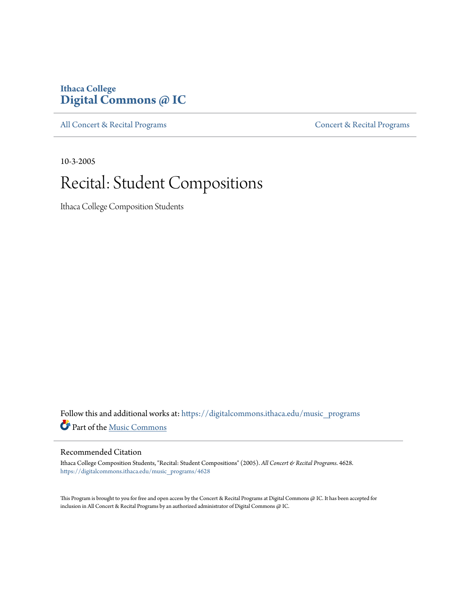### **Ithaca College [Digital Commons @ IC](https://digitalcommons.ithaca.edu?utm_source=digitalcommons.ithaca.edu%2Fmusic_programs%2F4628&utm_medium=PDF&utm_campaign=PDFCoverPages)**

[All Concert & Recital Programs](https://digitalcommons.ithaca.edu/music_programs?utm_source=digitalcommons.ithaca.edu%2Fmusic_programs%2F4628&utm_medium=PDF&utm_campaign=PDFCoverPages) **[Concert & Recital Programs](https://digitalcommons.ithaca.edu/som_programs?utm_source=digitalcommons.ithaca.edu%2Fmusic_programs%2F4628&utm_medium=PDF&utm_campaign=PDFCoverPages)** 

10-3-2005

### Recital: Student Compositions

Ithaca College Composition Students

Follow this and additional works at: [https://digitalcommons.ithaca.edu/music\\_programs](https://digitalcommons.ithaca.edu/music_programs?utm_source=digitalcommons.ithaca.edu%2Fmusic_programs%2F4628&utm_medium=PDF&utm_campaign=PDFCoverPages) Part of the [Music Commons](http://network.bepress.com/hgg/discipline/518?utm_source=digitalcommons.ithaca.edu%2Fmusic_programs%2F4628&utm_medium=PDF&utm_campaign=PDFCoverPages)

#### Recommended Citation

Ithaca College Composition Students, "Recital: Student Compositions" (2005). *All Concert & Recital Programs*. 4628. [https://digitalcommons.ithaca.edu/music\\_programs/4628](https://digitalcommons.ithaca.edu/music_programs/4628?utm_source=digitalcommons.ithaca.edu%2Fmusic_programs%2F4628&utm_medium=PDF&utm_campaign=PDFCoverPages)

This Program is brought to you for free and open access by the Concert & Recital Programs at Digital Commons @ IC. It has been accepted for inclusion in All Concert & Recital Programs by an authorized administrator of Digital Commons @ IC.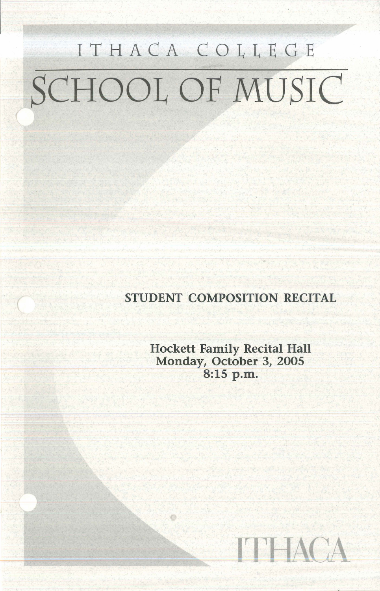## ITHACA COLLEGE SCHOOL OF MUSIC

STUDENT COMPOSITION RECITAL

Hockett Family Recital Hall Monday, October 3, 2005 8:15 p.m.